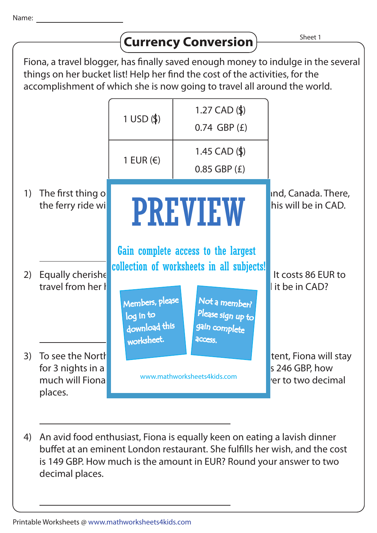|                                                                                                                                                                                                                                                                             |                                                                      |                                                      |                                                                                                                                         | Sheet 1                                                       |
|-----------------------------------------------------------------------------------------------------------------------------------------------------------------------------------------------------------------------------------------------------------------------------|----------------------------------------------------------------------|------------------------------------------------------|-----------------------------------------------------------------------------------------------------------------------------------------|---------------------------------------------------------------|
| <b>Currency Conversion</b><br>Fiona, a travel blogger, has finally saved enough money to indulge in the several<br>things on her bucket list! Help her find the cost of the activities, for the<br>accomplishment of which she is now going to travel all around the world. |                                                                      |                                                      |                                                                                                                                         |                                                               |
|                                                                                                                                                                                                                                                                             |                                                                      | $1$ USD $($ \$)                                      | 1.27 $CAD ($<br>$0.74$ GBP $(E)$                                                                                                        |                                                               |
|                                                                                                                                                                                                                                                                             |                                                                      | 1 EUR $(\epsilon)$                                   | 1.45 $CAD ($ \$)<br>$0.85$ GBP $(E)$                                                                                                    |                                                               |
| 1)                                                                                                                                                                                                                                                                          | The first thing o<br>the ferry ride wi                               | <b>PREVIEW</b>                                       |                                                                                                                                         | ind, Canada. There,<br>his will be in CAD.                    |
| 2)                                                                                                                                                                                                                                                                          | Equally cherishe<br>travel from her I                                | Members, please<br>log in to<br>download this        | Gain complete access to the largest<br>collection of worksheets in all subjects!<br>Not a member?<br>Please sign up to<br>gain complete | It costs 86 EUR to<br>it be in CAD?                           |
| 3)                                                                                                                                                                                                                                                                          | To see the North<br>for 3 nights in a<br>much will Fional<br>places. | worksheet.<br>access.<br>www.mathworksheets4kids.com |                                                                                                                                         | tent, Fiona will stay<br>s 246 GBP, how<br>rer to two decimal |

4) An avid food enthusiast, Fiona is equally keen on eating a lavish dinner buffet at an eminent London restaurant. She fulfills her wish, and the cost is 149 GBP. How much is the amount in EUR? Round your answer to two decimal places.